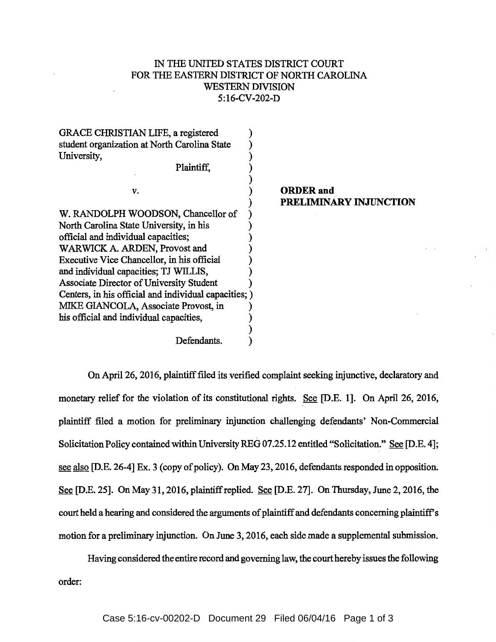## IN THE UNITED STATES DISTRICT COURT FOR THE EASTERN DISTRICT OF NORTH CAROLINA WESTERN DIVISION 5:16-CV-202-D

| GRACE CHRISTIAN LIFE, a registered                    |                        |
|-------------------------------------------------------|------------------------|
| student organization at North Carolina State          |                        |
| University,                                           |                        |
| Plaintiff,                                            |                        |
| v.                                                    | <b>ORDER</b> and       |
|                                                       | PRELIMINARY INJUNCTION |
| W. RANDOLPH WOODSON, Chancellor of                    |                        |
| North Carolina State University, in his               |                        |
| official and individual capacities;                   |                        |
| WARWICK A. ARDEN, Provost and                         |                        |
| Executive Vice Chancellor, in his official            |                        |
| and individual capacities; TJ WILLIS,                 |                        |
| Associate Director of University Student              |                        |
| Centers, in his official and individual capacities; ) |                        |
| MIKE GIANCOLA, Associate Provost, in                  |                        |
| his official and individual capacities,               |                        |
|                                                       |                        |
| Defendants.                                           |                        |

OnApri126, 2016, plaintiff filed its verified complaint seeking injunctive, declaratory and monetary relief for the violation of its constitutional rights. See [D.E. 1]. On April 26, 2016, plaintiff filed a motion for preliminary injunction challenging defendants' Non-Commercial Solicitation Policy contained within University REG 07.25.12 entitled "Solicitation." See [D.E. 4]; see also [D.E. 26-4] Ex. 3 (copy of policy). On May 23, 2016, defendants responded in opposition. See [D.E. 25]. On May 31,2016, plaintiff replied. See [D.E. 27]. On Thursday, June 2, 2016, the court held a hearing and considered the arguments of plaintiff and defendants concerning plaintiff's motion for a preliminary injunction. On June 3, 2016, each side made a supplemental submission.

Having considered the entire record and governing law, the court hereby issues the following order: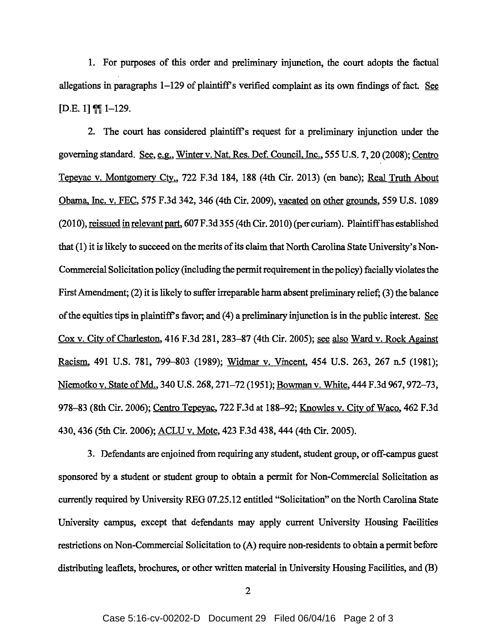1. For purposes of this order and preliminary injunction, the court adopts the factual allegations in paragraphs  $1-129$  of plaintiff's verified complaint as its own findings of fact. See  $[D.E. 1]$   $[1 - 129]$ .

2. The court has considered plaintiff's request for a preliminary injunction under the governing standard. See, e.g., Winter v. Nat. Res. Def. Council, Inc., 555 U.S. 7, 20 (2008); Centro Tepeyac v. Montgomery Cty., 722 F.3d 184, 188 (4th Cir. 2013) (en bane); Real Truth About Obama. Inc. v. FEC, 575 F.3d 342, 346 (4th Cir. 2009), vacated on other grounds, *559* U.S. 1089 (2010), reissued in relevant part, 607 F.3d 355 (4th Cir. 2010) (per curiam). Plaintiff has established that (1) it is likely to succeed on the merits of its claim that North Carolina State University's Non-Commercial Solicitation policy (including the permit requirement in the policy) facially violates the First Amendment; (2) it is likely to suffer irreparable harm absent preliminary relief; (3) the balance of the equities tips in plaintiff's favor; and ( 4) a preliminary injunction is in the public interest. See Cox v. City of Charleston, 416 F.3d 281, 283-87 (4th Cir. 2005); see also Ward v. Rock Against Racism, 491 U.S. 781, 799-803 (1989); Widmar v. Vincent, 454 U.S. 263, 267 n.5 (1981); Niemotko v. State of Md., 340 U.S. 268, 271-72 (1951); Bowman v. White, 444 F.3d 967, 972-73, 978-83 (8th Cir. 2006); Centro Tepeyac, 722 F.3d at 188-92; Knowles v. City of Waco, 462 F.3d 430,436 (5th Cir. 2006); ACLU v. Mote, 423 F.3d 438, 444 (4th Cir. 2005).

3. Defendants are enjoined from requiring any student, student group, or off-campus guest sponsored by a student or student group to obtain a permit for Non-Commercial Solicitation as currently required by University REG 07.25.12 entitled "Solicitation" on the North Carolina State University campus, except that defendants may apply current University Housing Facilities restrictions on Non-Commercial Solicitation to (A) require non-residents to obtain a permit before distributing leaflets, brochures, or other written material in University Housing Facilities, and (B)